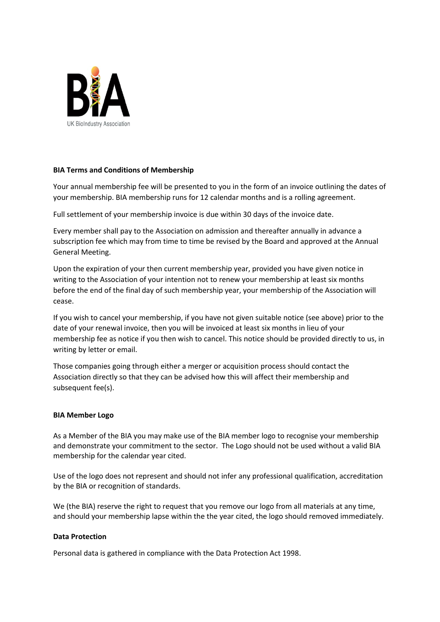

## **BIA Terms and Conditions of Membership**

Your annual membership fee will be presented to you in the form of an invoice outlining the dates of your membership. BIA membership runs for 12 calendar months and is a rolling agreement.

Full settlement of your membership invoice is due within 30 days of the invoice date.

Every member shall pay to the Association on admission and thereafter annually in advance a subscription fee which may from time to time be revised by the Board and approved at the Annual General Meeting.

Upon the expiration of your then current membership year, provided you have given notice in writing to the Association of your intention not to renew your membership at least six months before the end of the final day of such membership year, your membership of the Association will cease.

If you wish to cancel your membership, if you have not given suitable notice (see above) prior to the date of your renewal invoice, then you will be invoiced at least six months in lieu of your membership fee as notice if you then wish to cancel. This notice should be provided directly to us, in writing by letter or email.

Those companies going through either a merger or acquisition process should contact the Association directly so that they can be advised how this will affect their membership and subsequent fee(s).

## **BIA Member Logo**

As a Member of the BIA you may make use of the BIA member logo to recognise your membership and demonstrate your commitment to the sector. The Logo should not be used without a valid BIA membership for the calendar year cited.

Use of the logo does not represent and should not infer any professional qualification, accreditation by the BIA or recognition of standards.

We (the BIA) reserve the right to request that you remove our logo from all materials at any time, and should your membership lapse within the the year cited, the logo should removed immediately.

## **Data Protection**

Personal data is gathered in compliance with the Data Protection Act 1998.